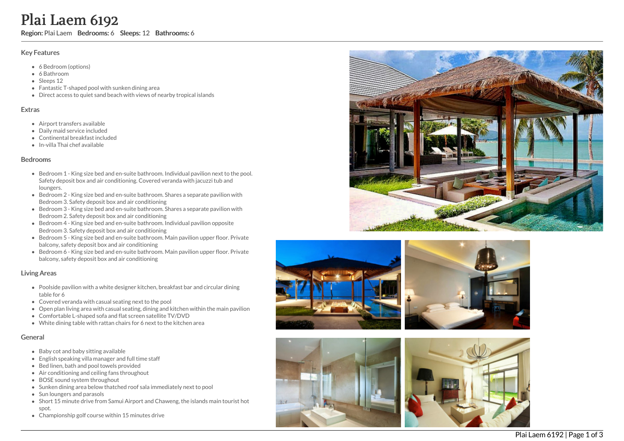# Plai Laem 6192

Region: Plai Laem Bedrooms: 6 Sleeps: 12 Bathrooms: 6

#### Key Features

- 6 Bedroom (options)
- 6 Bathroom
- Sleeps 12
- Fantastic T-shaped pool with sunken dining area
- Direct access to quiet sand beach with views of nearby tropical islands

#### **Extras**

- Airport transfers available
- D aily m aid s e r vic e in clu d e d
- Continental breakfast included
- In-villa Thai chef available

#### **Bedrooms**

- Bedroom 1 King size bed and en-suite bathroom. Individual pavilion next to the pool. Safety deposit box and air conditioning. Covered veranda with jacuzzi tub and loungers.
- Bedroom 2 King size bed and en-suite bathroom. Shares a separate pavilion with Bedroom 3. Safety deposit box and air conditioning
- Bedroom 3 King size bed and en-suite bathroom. Shares a separate pavilion with Bedroom 2. Safety deposit box and air conditioning
- Bedroom 4 King size bed and en-suite bathroom. Individual pavilion opposite Bedroom 3. Safety deposit box and air conditioning
- Bedroom 5 King size bed and en-suite bathroom. Main pavilion upper floor. Private balcony, safety deposit box and air conditioning
- Bedroom 6 King size bed and en-suite bathroom. Main pavilion upper floor. Private balcony, safety deposit box and air conditioning

## Living Areas

- Poolside pavilion with a white designer kitchen, breakfast bar and circular dining t a ble f o r 6
- Covered veranda with casual seating next to the pool
- Open plan living area with casual seating, dining and kitchen within the main pavilion
- Comfortable L-shaped sofa and flat screen satellite TV/DVD
- White dining table with rattan chairs for 6 next to the kitchen area

## General

- Baby cot and baby sitting available
- English speaking villa manager and full time staff
- Bed linen, bath and pool towels provided
- Air conditioning and ceiling fans throughout
- BOSE sound system throughout
- Sunken dining area below thatched roof sala immediately next to pool
- Sun loungers and parasols
- Short 15 minute drive from Samui Airport and Chaweng, the islands main tourist hot spot.
- Championship golf course within 15 minutes drive









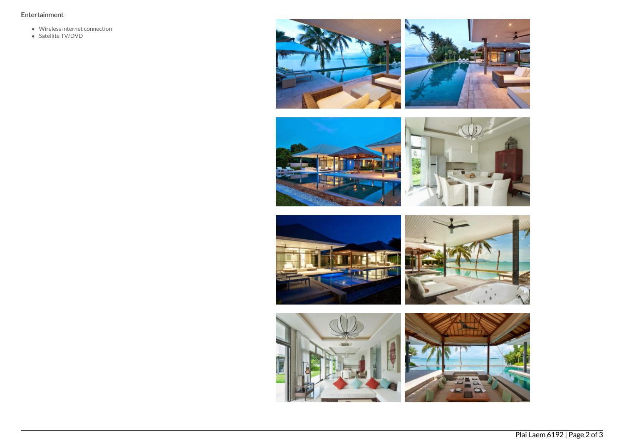# Entertainment

- Wireless internet connection
- Satellite TV/DVD